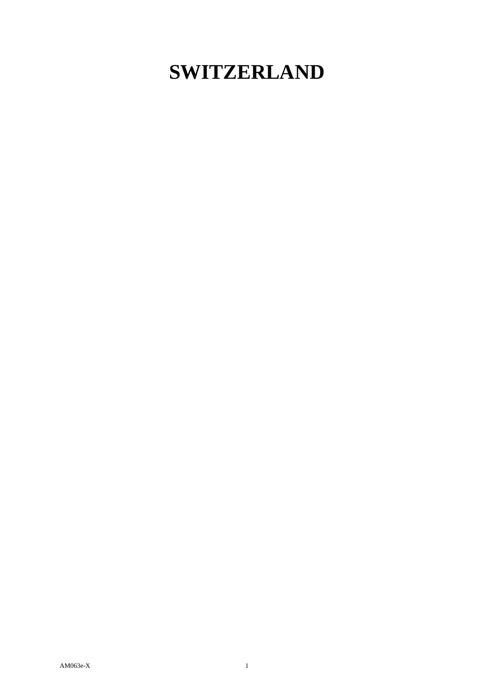## **SWITZERLAND**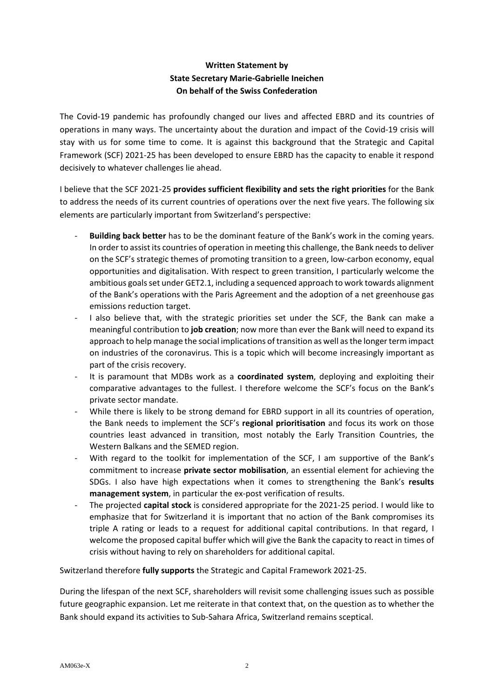## **Written Statement by State Secretary Marie-Gabrielle Ineichen On behalf of the Swiss Confederation**

The Covid-19 pandemic has profoundly changed our lives and affected EBRD and its countries of operations in many ways. The uncertainty about the duration and impact of the Covid-19 crisis will stay with us for some time to come. It is against this background that the Strategic and Capital Framework (SCF) 2021-25 has been developed to ensure EBRD has the capacity to enable it respond decisively to whatever challenges lie ahead.

I believe that the SCF 2021-25 **provides sufficient flexibility and sets the right priorities** for the Bank to address the needs of its current countries of operations over the next five years. The following six elements are particularly important from Switzerland's perspective:

- Building back better has to be the dominant feature of the Bank's work in the coming years. In order to assist its countries of operation in meeting this challenge, the Bank needs to deliver on the SCF's strategic themes of promoting transition to a green, low-carbon economy, equal opportunities and digitalisation. With respect to green transition, I particularly welcome the ambitious goals set under GET2.1, including a sequenced approach to work towards alignment of the Bank's operations with the Paris Agreement and the adoption of a net greenhouse gas emissions reduction target.
- I also believe that, with the strategic priorities set under the SCF, the Bank can make a meaningful contribution to **job creation**; now more than ever the Bank will need to expand its approach to help manage the social implications of transition as well as the longer term impact on industries of the coronavirus. This is a topic which will become increasingly important as part of the crisis recovery.
- It is paramount that MDBs work as a **coordinated system**, deploying and exploiting their comparative advantages to the fullest. I therefore welcome the SCF's focus on the Bank's private sector mandate.
- While there is likely to be strong demand for EBRD support in all its countries of operation, the Bank needs to implement the SCF's **regional prioritisation** and focus its work on those countries least advanced in transition, most notably the Early Transition Countries, the Western Balkans and the SEMED region.
- With regard to the toolkit for implementation of the SCF, I am supportive of the Bank's commitment to increase **private sector mobilisation**, an essential element for achieving the SDGs. I also have high expectations when it comes to strengthening the Bank's **results management system**, in particular the ex-post verification of results.
- The projected **capital stock** is considered appropriate for the 2021-25 period. I would like to emphasize that for Switzerland it is important that no action of the Bank compromises its triple A rating or leads to a request for additional capital contributions. In that regard, I welcome the proposed capital buffer which will give the Bank the capacity to react in times of crisis without having to rely on shareholders for additional capital.

Switzerland therefore **fully supports** the Strategic and Capital Framework 2021-25.

During the lifespan of the next SCF, shareholders will revisit some challenging issues such as possible future geographic expansion. Let me reiterate in that context that, on the question as to whether the Bank should expand its activities to Sub-Sahara Africa, Switzerland remains sceptical.